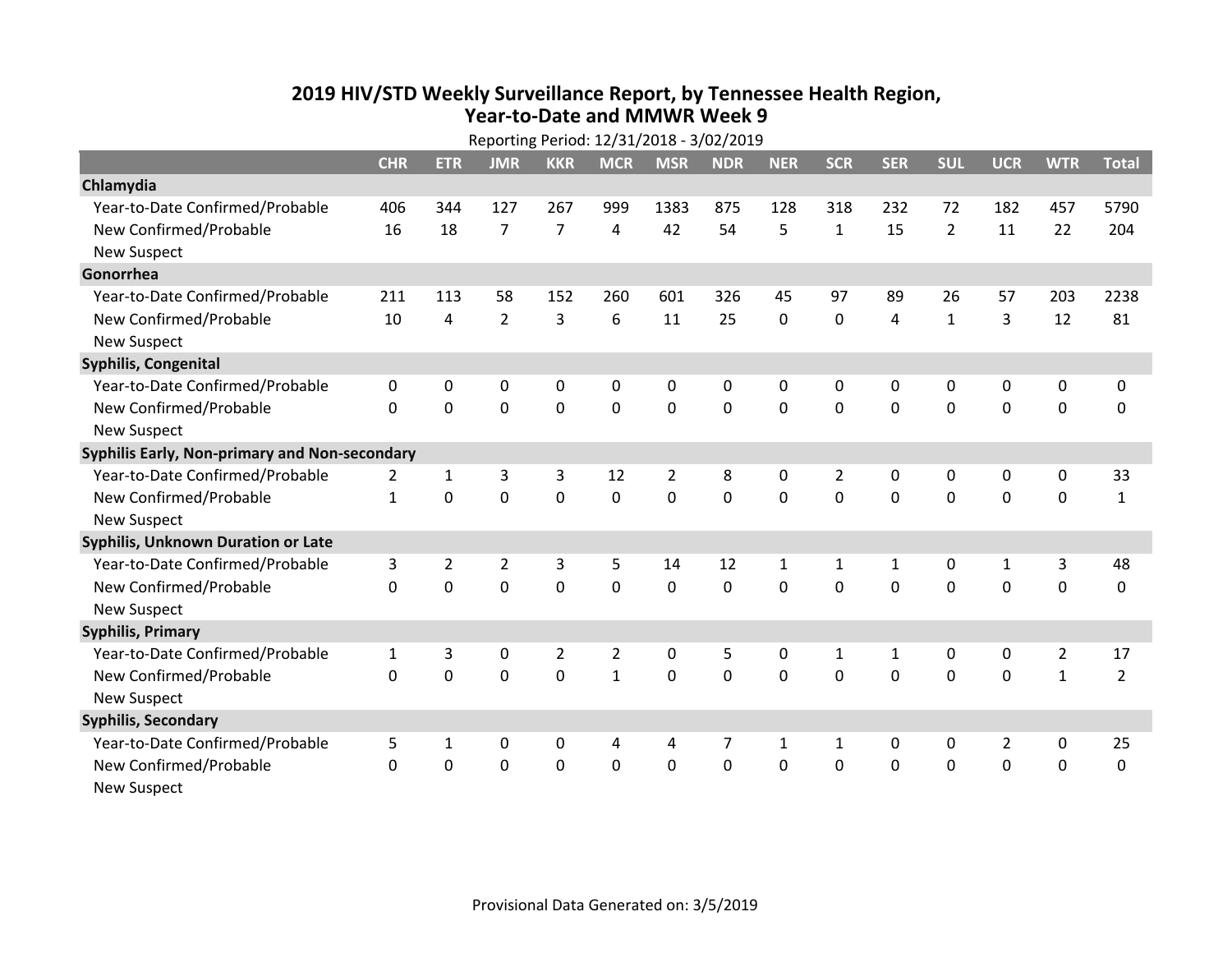## **2019 HIV /STD Weekly Surveillance Report, by Tennessee Health Region, Year‐to‐Date and MMWR Week 9**

| Reporting Period: 12/31/2018 - 3/02/2019      |                |                |                |                |                |                |                |              |              |              |                |                |                |                |
|-----------------------------------------------|----------------|----------------|----------------|----------------|----------------|----------------|----------------|--------------|--------------|--------------|----------------|----------------|----------------|----------------|
|                                               | <b>CHR</b>     | <b>ETR</b>     | <b>JMR</b>     | <b>KKR</b>     | <b>MCR</b>     | <b>MSR</b>     | <b>NDR</b>     | <b>NER</b>   | <b>SCR</b>   | <b>SER</b>   | <b>SUL</b>     | <b>UCR</b>     | <b>WTR</b>     | <b>Total</b>   |
| Chlamydia                                     |                |                |                |                |                |                |                |              |              |              |                |                |                |                |
| Year-to-Date Confirmed/Probable               | 406            | 344            | 127            | 267            | 999            | 1383           | 875            | 128          | 318          | 232          | 72             | 182            | 457            | 5790           |
| New Confirmed/Probable                        | 16             | 18             | $\overline{7}$ | $\overline{7}$ | 4              | 42             | 54             | 5            | $\mathbf{1}$ | 15           | $\overline{2}$ | 11             | 22             | 204            |
| <b>New Suspect</b>                            |                |                |                |                |                |                |                |              |              |              |                |                |                |                |
| Gonorrhea                                     |                |                |                |                |                |                |                |              |              |              |                |                |                |                |
| Year-to-Date Confirmed/Probable               | 211            | 113            | 58             | 152            | 260            | 601            | 326            | 45           | 97           | 89           | 26             | 57             | 203            | 2238           |
| New Confirmed/Probable                        | 10             | 4              | $\overline{2}$ | 3              | 6              | 11             | 25             | 0            | 0            | 4            | $\mathbf{1}$   | 3              | 12             | 81             |
| <b>New Suspect</b>                            |                |                |                |                |                |                |                |              |              |              |                |                |                |                |
| Syphilis, Congenital                          |                |                |                |                |                |                |                |              |              |              |                |                |                |                |
| Year-to-Date Confirmed/Probable               | 0              | 0              | 0              | 0              | 0              | 0              | 0              | 0            | 0            | 0            | 0              | 0              | 0              | 0              |
| New Confirmed/Probable                        | $\mathbf{0}$   | $\mathbf 0$    | 0              | $\mathbf 0$    | $\mathbf 0$    | $\mathbf 0$    | $\mathbf 0$    | $\mathbf 0$  | $\Omega$     | 0            | $\mathbf 0$    | 0              | $\mathbf 0$    | 0              |
| <b>New Suspect</b>                            |                |                |                |                |                |                |                |              |              |              |                |                |                |                |
| Syphilis Early, Non-primary and Non-secondary |                |                |                |                |                |                |                |              |              |              |                |                |                |                |
| Year-to-Date Confirmed/Probable               | $\overline{2}$ | 1              | 3              | 3              | 12             | $\overline{2}$ | 8              | 0            | 2            | 0            | 0              | 0              | 0              | 33             |
| New Confirmed/Probable                        | $\mathbf{1}$   | $\mathbf 0$    | 0              | $\mathbf 0$    | $\mathbf 0$    | 0              | $\mathbf 0$    | $\mathbf 0$  | $\mathbf 0$  | 0            | $\mathbf 0$    | 0              | $\mathbf 0$    | $\mathbf{1}$   |
| <b>New Suspect</b>                            |                |                |                |                |                |                |                |              |              |              |                |                |                |                |
| <b>Syphilis, Unknown Duration or Late</b>     |                |                |                |                |                |                |                |              |              |              |                |                |                |                |
| Year-to-Date Confirmed/Probable               | 3              | $\overline{2}$ | $\overline{2}$ | 3              | 5              | 14             | 12             | $\mathbf{1}$ | $\mathbf{1}$ | $\mathbf{1}$ | 0              | 1              | 3              | 48             |
| New Confirmed/Probable                        | $\Omega$       | $\mathbf 0$    | $\mathbf 0$    | $\mathbf 0$    | 0              | $\mathbf 0$    | 0              | $\Omega$     | $\Omega$     | $\Omega$     | $\Omega$       | 0              | $\mathbf 0$    | 0              |
| <b>New Suspect</b>                            |                |                |                |                |                |                |                |              |              |              |                |                |                |                |
| <b>Syphilis, Primary</b>                      |                |                |                |                |                |                |                |              |              |              |                |                |                |                |
| Year-to-Date Confirmed/Probable               | $\mathbf{1}$   | 3              | 0              | $\overline{2}$ | $\overline{2}$ | $\mathbf 0$    | 5              | 0            | $\mathbf{1}$ | $\mathbf{1}$ | 0              | 0              | $\overline{2}$ | 17             |
| New Confirmed/Probable                        | 0              | $\mathbf 0$    | $\overline{0}$ | $\mathbf 0$    | $\mathbf{1}$   | $\mathbf 0$    | $\mathbf 0$    | 0            | $\Omega$     | $\Omega$     | $\Omega$       | $\mathbf 0$    | $\mathbf{1}$   | $\overline{2}$ |
| <b>New Suspect</b>                            |                |                |                |                |                |                |                |              |              |              |                |                |                |                |
| <b>Syphilis, Secondary</b>                    |                |                |                |                |                |                |                |              |              |              |                |                |                |                |
| Year-to-Date Confirmed/Probable               | 5              | 1              | 0              | 0              | 4              | 4              | $\overline{7}$ | $\mathbf{1}$ | $\mathbf{1}$ | 0            | 0              | $\overline{2}$ | $\mathbf 0$    | 25             |
| New Confirmed/Probable                        | $\mathbf{0}$   | 0              | 0              | $\mathbf 0$    | $\mathbf 0$    | $\mathbf 0$    | 0              | 0            | 0            | 0            | $\mathbf 0$    | 0              | $\mathbf 0$    | 0              |
| <b>New Suspect</b>                            |                |                |                |                |                |                |                |              |              |              |                |                |                |                |